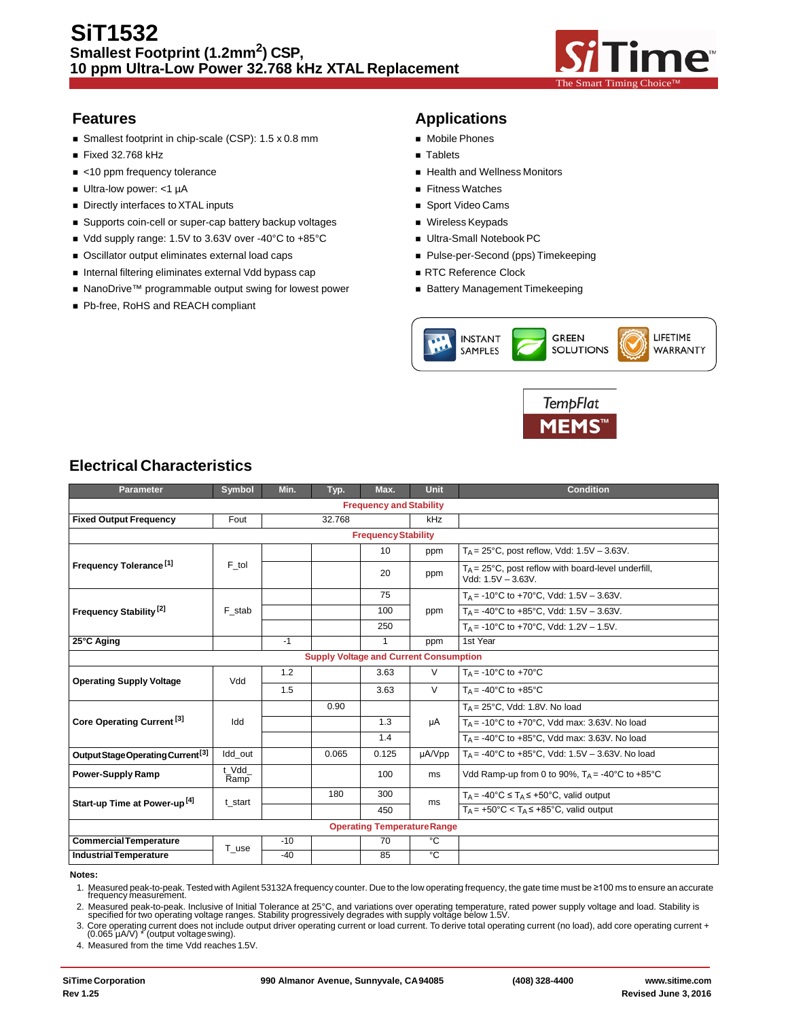

- $\blacksquare$  Smallest footprint in chip-scale (CSP): 1.5 x 0.8 mm  $\blacksquare$  Mobile Phones
- Fixed 32.768 kHz
- 
- Ultra-low power: <1 µA Fitness Watches
- Directly interfaces to XTAL inputs **Sport Video Cams Sport Video Cams**
- Supports coin-cell or super-cap battery backup voltages Wireless Keypads
- Vdd supply range: 1.5V to 3.63V over -40°C to +85°C Ultra-Small Notebook PC
- Oscillator output eliminates external load caps Pulse-per-Second (pps) Timekeeping
- Internal filtering eliminates external Vdd bypass cap RTC Reference Clock
- NanoDrive™ programmable output swing for lowest power Battery Management Timekeeping
- Pb-free, RoHS and REACH compliant

## **Features Applications**

- 
- 
- <10 ppm frequency tolerance and the state of the Health and Wellness Monitors
	-
	-
	-
	-
	-
	-
	-





## **Electrical Characteristics**

| <b>Parameter</b>                              | Symbol        | Min.   | Typ.  | Max.                       | <b>Unit</b> | <b>Condition</b>                                                                    |
|-----------------------------------------------|---------------|--------|-------|----------------------------|-------------|-------------------------------------------------------------------------------------|
| <b>Frequency and Stability</b>                |               |        |       |                            |             |                                                                                     |
| <b>Fixed Output Frequency</b>                 | Fout          | 32.768 |       | kHz                        |             |                                                                                     |
|                                               |               |        |       | <b>Frequency Stability</b> |             |                                                                                     |
|                                               |               |        |       | 10                         | ppm         | $T_A = 25^{\circ}$ C, post reflow, Vdd: 1.5V - 3.63V.                               |
| Frequency Tolerance <sup>[1]</sup>            | F_tol         |        |       | 20                         | ppm         | $T_A = 25^{\circ}$ C, post reflow with board-level underfill,<br>Vdd: 1.5V - 3.63V. |
|                                               |               |        |       | 75                         |             | $T_A$ = -10°C to +70°C, Vdd: 1.5V – 3.63V.                                          |
| Frequency Stability <sup>[2]</sup>            | F stab        |        |       | 100                        | ppm         | $T_A$ = -40°C to +85°C, Vdd: 1.5V - 3.63V.                                          |
|                                               |               |        |       | 250                        |             | $T_A$ = -10°C to +70°C, Vdd: 1.2V – 1.5V.                                           |
| 25°C Aging                                    |               | $-1$   |       | 1                          | ppm         | 1st Year                                                                            |
| <b>Supply Voltage and Current Consumption</b> |               |        |       |                            |             |                                                                                     |
| <b>Operating Supply Voltage</b>               | Vdd           | 1.2    |       | 3.63                       | V           | $Ta = -10^{\circ}C$ to $+70^{\circ}C$                                               |
|                                               |               | 1.5    |       | 3.63                       | $\vee$      | $T_A = -40^{\circ}$ C to $+85^{\circ}$ C                                            |
|                                               | Idd           |        | 0.90  |                            |             | $T_A = 25^{\circ}$ C, Vdd: 1.8V. No load                                            |
| Core Operating Current <sup>[3]</sup>         |               |        |       | 1.3                        | μA          | $T_A$ = -10°C to +70°C, Vdd max: 3.63V. No load                                     |
|                                               |               |        |       | 1.4                        |             | $T_A = -40^{\circ}$ C to $+85^{\circ}$ C, Vdd max: 3.63V. No load                   |
| Output Stage Operating Current <sup>[3]</sup> | Idd out       |        | 0.065 | 0.125                      | µA/Vpp      | T <sub>A</sub> = -40°C to +85°C, Vdd: 1.5V - 3.63V. No load                         |
| <b>Power-Supply Ramp</b>                      | t Vdd<br>Ramp |        |       | 100                        | ms          | Vdd Ramp-up from 0 to 90%, $T_A = -40^{\circ}$ C to $+85^{\circ}$ C                 |
| Start-up Time at Power-up <sup>[4]</sup>      | t start       |        | 180   | 300                        | ms          | $T_A = -40^\circ \text{C} \leq T_A \leq +50^\circ \text{C}$ , valid output          |
|                                               |               |        |       | 450                        |             | $T_A = +50^{\circ}C < T_A \leq +85^{\circ}C$ , valid output                         |
| <b>Operating Temperature Range</b>            |               |        |       |                            |             |                                                                                     |
| <b>Commercial Temperature</b>                 | T use         | $-10$  |       | 70                         | $^{\circ}C$ |                                                                                     |
| <b>Industrial Temperature</b>                 |               | $-40$  |       | 85                         | °C          |                                                                                     |

**Notes:**

1. Measured peak-to-peak. Tested with Agilent 53132A frequency counter. Due to the low operating frequency, the gate time must be ≥100 ms to ensure an accurate frequency measurement.

2. Measured peak-to-peak. Inclusive of Initial Tolerance at 25°C, and variations over operating temperature, rated power supply voltage and load. Stability is specified for two operating voltage ranges. Stability progressi

3. Core operating current does not include output driver operating current or load current. To derive total operating current (no load), add core operating current + (0.065 µA/V) \* (output voltageswing).

4. Measured from the time Vdd reaches 1.5V.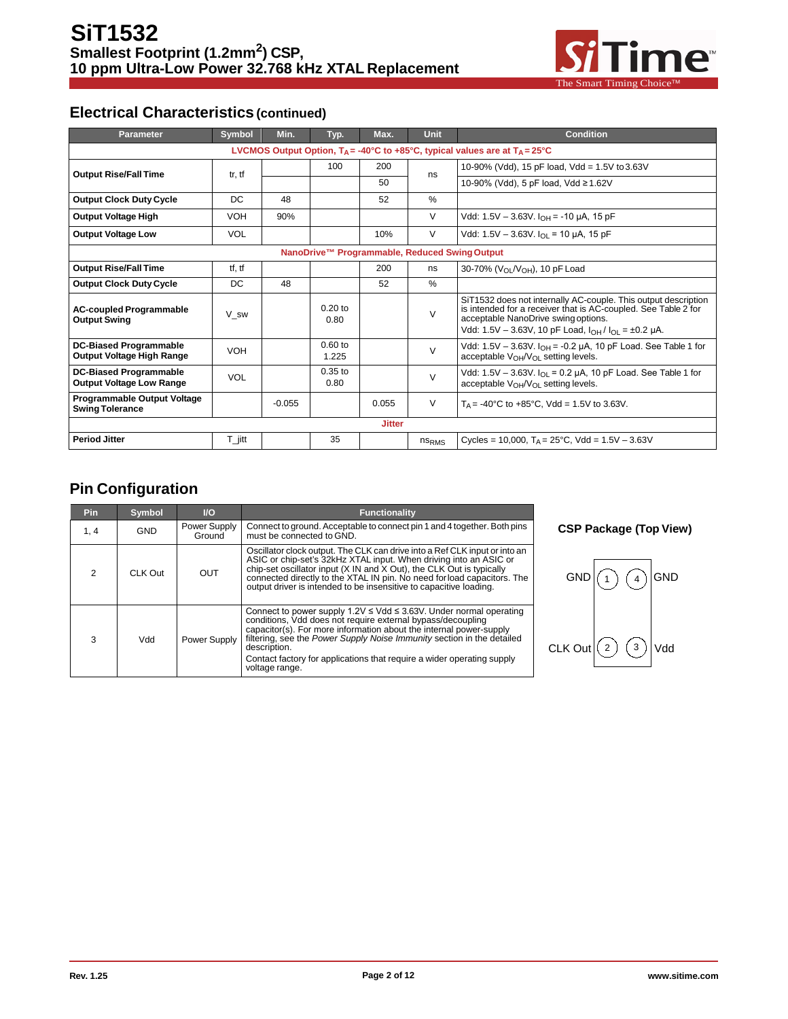

## **Electrical Characteristics(continued)**

| <b>Parameter</b>                                                                                         | Symbol              | Min.     | Typ.               | Max.          | <b>Unit</b>       | <b>Condition</b>                                                                                                                                                                                                                        |
|----------------------------------------------------------------------------------------------------------|---------------------|----------|--------------------|---------------|-------------------|-----------------------------------------------------------------------------------------------------------------------------------------------------------------------------------------------------------------------------------------|
| LVCMOS Output Option, $T_A = -40^{\circ}C$ to $+85^{\circ}C$ , typical values are at $T_A = 25^{\circ}C$ |                     |          |                    |               |                   |                                                                                                                                                                                                                                         |
| <b>Output Rise/Fall Time</b>                                                                             | tr, tf              |          | 100                | 200           | ns                | 10-90% (Vdd), 15 pF load, Vdd = 1.5V to 3.63V                                                                                                                                                                                           |
|                                                                                                          |                     |          |                    | 50            |                   | 10-90% (Vdd), 5 pF load, Vdd ≥1.62V                                                                                                                                                                                                     |
| <b>Output Clock Duty Cycle</b>                                                                           | DC                  | 48       |                    | 52            | $\%$              |                                                                                                                                                                                                                                         |
| <b>Output Voltage High</b>                                                                               | <b>VOH</b>          | 90%      |                    |               | V                 | Vdd: $1.5V - 3.63V$ . $I_{OH} = -10 \mu A$ , 15 pF                                                                                                                                                                                      |
| <b>Output Voltage Low</b>                                                                                | <b>VOL</b>          |          |                    | 10%           | $\vee$            | Vdd: 1.5V - 3.63V. $I_{OL}$ = 10 µA, 15 pF                                                                                                                                                                                              |
|                                                                                                          |                     |          |                    |               |                   | NanoDrive™ Programmable, Reduced Swing Output                                                                                                                                                                                           |
| <b>Output Rise/Fall Time</b>                                                                             | tf, tf              |          |                    | 200           | ns                | 30-70% (V <sub>OL</sub> /V <sub>OH</sub> ), 10 pF Load                                                                                                                                                                                  |
| <b>Output Clock Duty Cycle</b>                                                                           | DC                  | 48       |                    | 52            | $\%$              |                                                                                                                                                                                                                                         |
| <b>AC-coupled Programmable</b><br><b>Output Swing</b>                                                    | V sw                |          | $0.20$ to<br>0.80  |               | $\vee$            | SiT1532 does not internally AC-couple. This output description<br>is intended for a receiver that is AC-coupled. See Table 2 for<br>acceptable NanoDrive swing options.<br>Vdd: 1.5V - 3.63V, 10 pF Load, $I_{OH}/I_{O1} = \pm 0.2$ µA. |
| <b>DC-Biased Programmable</b><br>Output Voltage High Range                                               | <b>VOH</b>          |          | $0.60$ to<br>1.225 |               | $\vee$            | Vdd: $1.5V - 3.63V$ . $I_{OH} = -0.2 \mu A$ , 10 pF Load. See Table 1 for<br>acceptable $V_{\Omega}W_{\Omega}$ setting levels.                                                                                                          |
| <b>DC-Biased Programmable</b><br><b>Output Voltage Low Range</b>                                         | <b>VOL</b>          |          | $0.35$ to<br>0.80  |               | $\vee$            | Vdd: 1.5V – 3.63V. $I_{OL}$ = 0.2 µA, 10 pF Load. See Table 1 for<br>acceptable $V_{OH}/V_{OL}$ setting levels.                                                                                                                         |
| <b>Programmable Output Voltage</b><br><b>Swing Tolerance</b>                                             |                     | $-0.055$ |                    | 0.055         | V                 | $T_A = -40^{\circ}$ C to $+85^{\circ}$ C, Vdd = 1.5V to 3.63V.                                                                                                                                                                          |
|                                                                                                          |                     |          |                    | <b>Jitter</b> |                   |                                                                                                                                                                                                                                         |
| <b>Period Jitter</b>                                                                                     | $T_{\parallel}$ itt |          | 35                 |               | ns <sub>RMS</sub> | Cycles = 10,000, $T_A = 25^{\circ}$ C, Vdd = 1.5V - 3.63V                                                                                                                                                                               |

## **Pin Configuration**

| <b>Pin</b> | Symbol     | <b>VO</b>              | Functionality                                                                                                                                                                                                                                                                                                                                                                                          |  |  |
|------------|------------|------------------------|--------------------------------------------------------------------------------------------------------------------------------------------------------------------------------------------------------------------------------------------------------------------------------------------------------------------------------------------------------------------------------------------------------|--|--|
| 1, 4       | <b>GND</b> | Power Supply<br>Ground | Connect to ground. Acceptable to connect pin 1 and 4 together. Both pins<br>must be connected to GND.                                                                                                                                                                                                                                                                                                  |  |  |
| 2          | CLK Out    | OUT                    | Oscillator clock output. The CLK can drive into a Ref CLK input or into an<br>ASIC or chip-set's 32kHz XTAL input. When driving into an ASIC or<br>chip-set oscillator input (X IN and X Out), the CLK Out is typically<br>connected directly to the XTAL IN pin. No need for load capacitors. The<br>output driver is intended to be insensitive to capacitive loading.                               |  |  |
| 3          | Vdd        | Power Supply           | Connect to power supply $1.2V \leq Vdd \leq 3.63V$ . Under normal operating<br>conditions. Vdd does not require external bypass/decoupling<br>capacitor(s). For more information about the internal power-supply<br>filtering, see the Power Supply Noise Immunity section in the detailed<br>description.<br>Contact factory for applications that require a wider operating supply<br>voltage range. |  |  |

**CSP Package (Top View)**

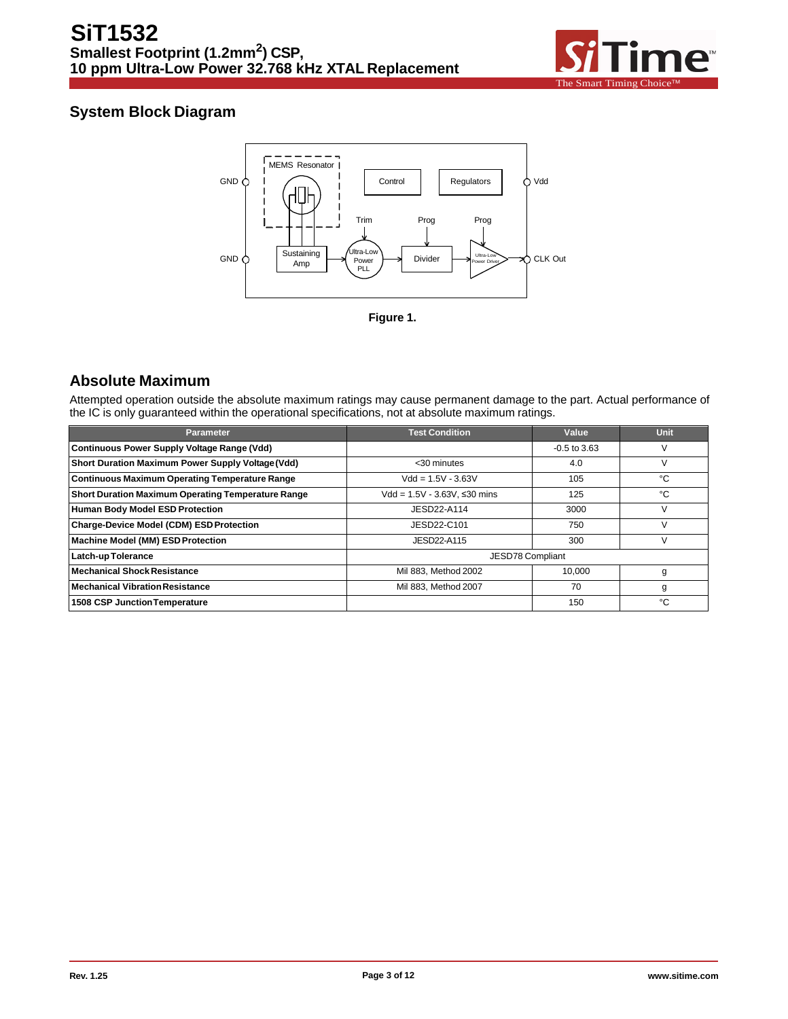

## **System Block Diagram**



## **Absolute Maximum**

Attempted operation outside the absolute maximum ratings may cause permanent damage to the part. Actual performance of the IC is only guaranteed within the operational specifications, not at absolute maximum ratings.

| <b>Parameter</b>                                          | <b>Test Condition</b>           | Value          | <b>Unit</b> |
|-----------------------------------------------------------|---------------------------------|----------------|-------------|
| <b>Continuous Power Supply Voltage Range (Vdd)</b>        |                                 | $-0.5$ to 3.63 | v           |
| Short Duration Maximum Power Supply Voltage (Vdd)         | <30 minutes                     | 4.0            | ٧           |
| <b>Continuous Maximum Operating Temperature Range</b>     | $Vdd = 1.5V - 3.63V$            | 105            | °C          |
| <b>Short Duration Maximum Operating Temperature Range</b> | $Vdd = 1.5V - 3.63V$ , ≤30 mins | 125            | °€          |
| <b>Human Body Model ESD Protection</b>                    | JESD22-A114                     | 3000           | v           |
| Charge-Device Model (CDM) ESD Protection                  | JESD22-C101                     | 750            | V           |
| <b>Machine Model (MM) ESD Protection</b>                  | JESD22-A115                     | 300            | V           |
| Latch-up Tolerance                                        | JESD78 Compliant                |                |             |
| <b>Mechanical Shock Resistance</b>                        | Mil 883, Method 2002            | 10.000         | g           |
| <b>Mechanical Vibration Resistance</b>                    | Mil 883. Method 2007            | 70             | g           |
| <b>1508 CSP Junction Temperature</b>                      |                                 | 150            | °C          |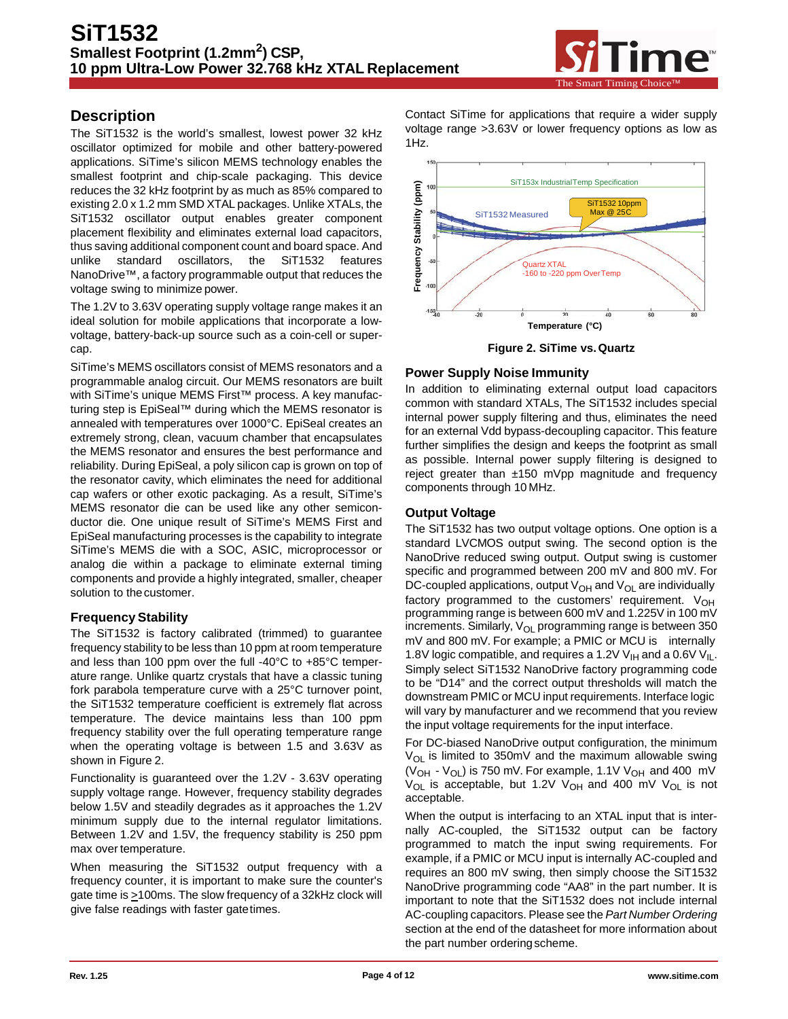

## **Description**

The SiT1532 is the world's smallest, lowest power 32 kHz oscillator optimized for mobile and other battery-powered applications. SiTime's silicon MEMS technology enables the smallest footprint and chip-scale packaging. This device reduces the 32 kHz footprint by as much as 85% compared to existing 2.0 x 1.2 mm SMD XTAL packages. Unlike XTALs, the SiT1532 oscillator output enables greater component placement flexibility and eliminates external load capacitors, thus saving additional component count and board space. And unlike standard oscillators, the SiT1532 features NanoDrive™, a factory programmable output that reduces the voltage swing to minimize power.

The 1.2V to 3.63V operating supply voltage range makes it an ideal solution for mobile applications that incorporate a lowvoltage, battery-back-up source such as a coin-cell or supercap.

SiTime's MEMS oscillators consist of MEMS resonators and a programmable analog circuit. Our MEMS resonators are built with SiTime's unique MEMS First™ process. A key manufacturing step is EpiSeal™ during which the MEMS resonator is annealed with temperatures over 1000°C. EpiSeal creates an extremely strong, clean, vacuum chamber that encapsulates the MEMS resonator and ensures the best performance and reliability. During EpiSeal, a poly silicon cap is grown on top of the resonator cavity, which eliminates the need for additional cap wafers or other exotic packaging. As a result, SiTime's MEMS resonator die can be used like any other semiconductor die. One unique result of SiTime's MEMS First and EpiSeal manufacturing processes is the capability to integrate SiTime's MEMS die with a SOC, ASIC, microprocessor or analog die within a package to eliminate external timing components and provide a highly integrated, smaller, cheaper solution to thecustomer.

#### **Frequency Stability**

The SiT1532 is factory calibrated (trimmed) to guarantee frequency stability to be less than 10 ppm at room temperature and less than 100 ppm over the full -40°C to +85°C temperature range. Unlike quartz crystals that have a classic tuning fork parabola temperature curve with a 25°C turnover point, the SiT1532 temperature coefficient is extremely flat across temperature. The device maintains less than 100 ppm frequency stability over the full operating temperature range when the operating voltage is between 1.5 and 3.63V as shown in Figure 2.

Functionality is guaranteed over the 1.2V - 3.63V operating supply voltage range. However, frequency stability degrades below 1.5V and steadily degrades as it approaches the 1.2V minimum supply due to the internal regulator limitations. Between 1.2V and 1.5V, the frequency stability is 250 ppm max over temperature.

When measuring the SiT1532 output frequency with a frequency counter, it is important to make sure the counter's gate time is >100ms. The slow frequency of a 32kHz clock will give false readings with faster gatetimes.

Contact SiTime for applications that require a wider supply voltage range >3.63V or lower frequency options as low as 1Hz.



**Figure 2. SiTime vs.Quartz**

### **Power Supply Noise Immunity**

In addition to eliminating external output load capacitors common with standard XTALs, The SiT1532 includes special internal power supply filtering and thus, eliminates the need for an external Vdd bypass-decoupling capacitor. This feature further simplifies the design and keeps the footprint as small as possible. Internal power supply filtering is designed to reject greater than ±150 mVpp magnitude and frequency components through 10 MHz.

#### **Output Voltage**

The SiT1532 has two output voltage options. One option is a standard LVCMOS output swing. The second option is the NanoDrive reduced swing output. Output swing is customer specific and programmed between 200 mV and 800 mV. For DC-coupled applications, output  $V_{OH}$  and  $V_{OL}$  are individually factory programmed to the customers' requirement.  $V_{OH}$ programming range is between 600 mV and 1.225V in 100 mV increments. Similarly,  $V_{OL}$  programming range is between 350 mV and 800 mV. For example; a PMIC or MCU is internally 1.8V logic compatible, and requires a 1.2V  $V_{H}$  and a 0.6V  $V_{H}$ . Simply select SiT1532 NanoDrive factory programming code to be "D14" and the correct output thresholds will match the downstream PMIC or MCU input requirements. Interface logic will vary by manufacturer and we recommend that you review the input voltage requirements for the input interface.

For DC-biased NanoDrive output configuration, the minimum  $V_{OL}$  is limited to 350mV and the maximum allowable swing ( $V_{OH}$  -  $V_{OL}$ ) is 750 mV. For example, 1.1V  $V_{OH}$  and 400 mV  $V_{OL}$  is acceptable, but 1.2V  $V_{OH}$  and 400 mV  $V_{OL}$  is not acceptable.

When the output is interfacing to an XTAL input that is internally AC-coupled, the SiT1532 output can be factory programmed to match the input swing requirements. For example, if a PMIC or MCU input is internally AC-coupled and requires an 800 mV swing, then simply choose the SiT1532 NanoDrive programming code "AA8" in the part number. It is important to note that the SiT1532 does not include internal AC-coupling capacitors. Please see the *Part Number Ordering*  section at the end of the datasheet for more information about the part number orderingscheme.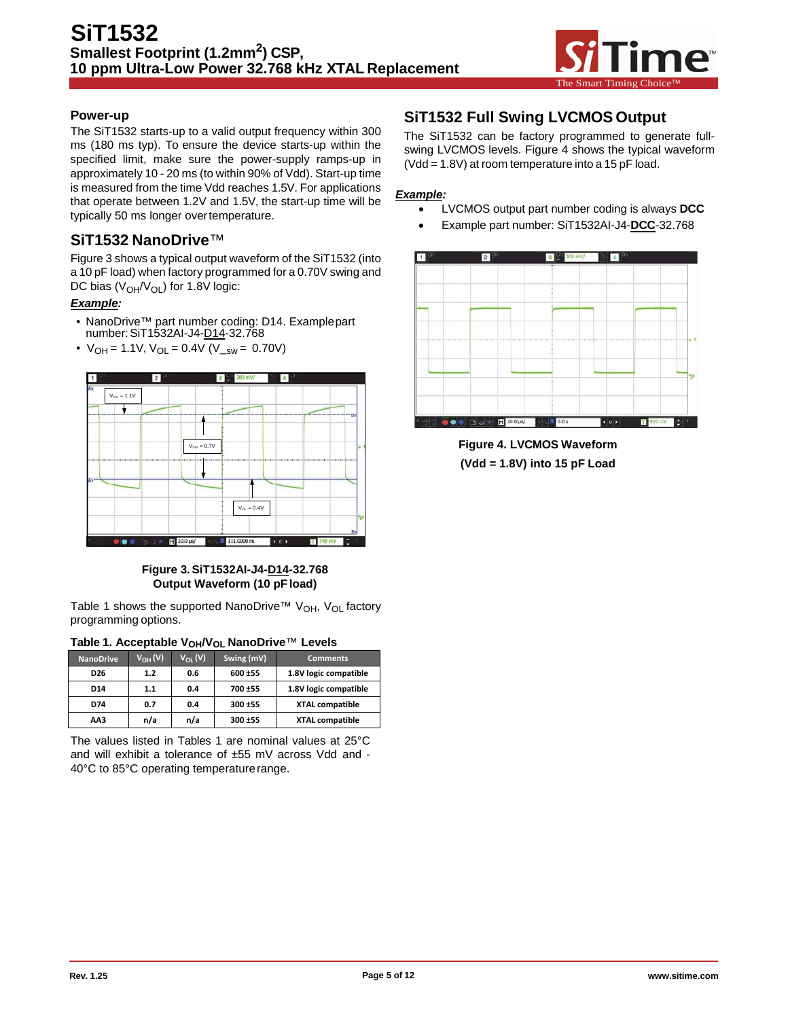

#### **Power-up**

The SiT1532 starts-up to a valid output frequency within 300 ms (180 ms typ). To ensure the device starts-up within the specified limit, make sure the power-supply ramps-up in approximately 10 - 20 ms (to within 90% of Vdd). Start-up time is measured from the time Vdd reaches 1.5V. For applications that operate between 1.2V and 1.5V, the start-up time will be typically 50 ms longer overtemperature.

## **SiT1532 NanoDrive**™

Figure 3 shows a typical output waveform of the SiT1532 (into a 10 pF load) when factory programmed for a 0.70V swing and DC bias  $(V_{OH}/V_{OL})$  for 1.8V logic:

#### *Example:*

- NanoDrive™ part number coding: D14. Examplepart number:SiT1532AI-J4-D14-32.768
- $V_{OH} = 1.1V$ ,  $V_{OL} = 0.4V$  ( $V_{ssw} = 0.70V$ )



#### **Figure 3.SiT1532AI-J4-D14-32.768 Output Waveform (10 pFload)**

Table 1 shows the supported NanoDrive™ V<sub>OH</sub>, V<sub>OL</sub> factory programming options.

| Table 1. Acceptable V <sub>OH</sub> /V <sub>OL</sub> NanoDrive™ Levels |  |  |  |
|------------------------------------------------------------------------|--|--|--|
|------------------------------------------------------------------------|--|--|--|

| <b>NanoDrive</b> | $V_{OH} (V)$ | $V_{01}$ (V) | Swing (mV) | <b>Comments</b>        |
|------------------|--------------|--------------|------------|------------------------|
| D <sub>26</sub>  | 1.2          | 0.6          | 600 ±55    | 1.8V logic compatible  |
| D <sub>14</sub>  | 1.1          | 0.4          | 700 ±55    | 1.8V logic compatible  |
| D74              | 0.7          | 0.4          | 300 ±55    | <b>XTAL compatible</b> |
| AA3              | n/a          | n/a          | 300 ±55    | <b>XTAL compatible</b> |

The values listed in Tables 1 are nominal values at 25°C and will exhibit a tolerance of  $±55$  mV across Vdd and -40°C to 85°C operating temperature range.

## **SiT1532 Full Swing LVCMOS Output**

The SiT1532 can be factory programmed to generate fullswing LVCMOS levels. Figure 4 shows the typical waveform (Vdd = 1.8V) at room temperature into a 15 pF load.

#### *Example:*

- LVCMOS output part number coding is always **DCC**
- Example part number: SiT1532AI-J4-**DCC**-32.768



**Figure 4. LVCMOS Waveform (Vdd = 1.8V) into 15 pF Load**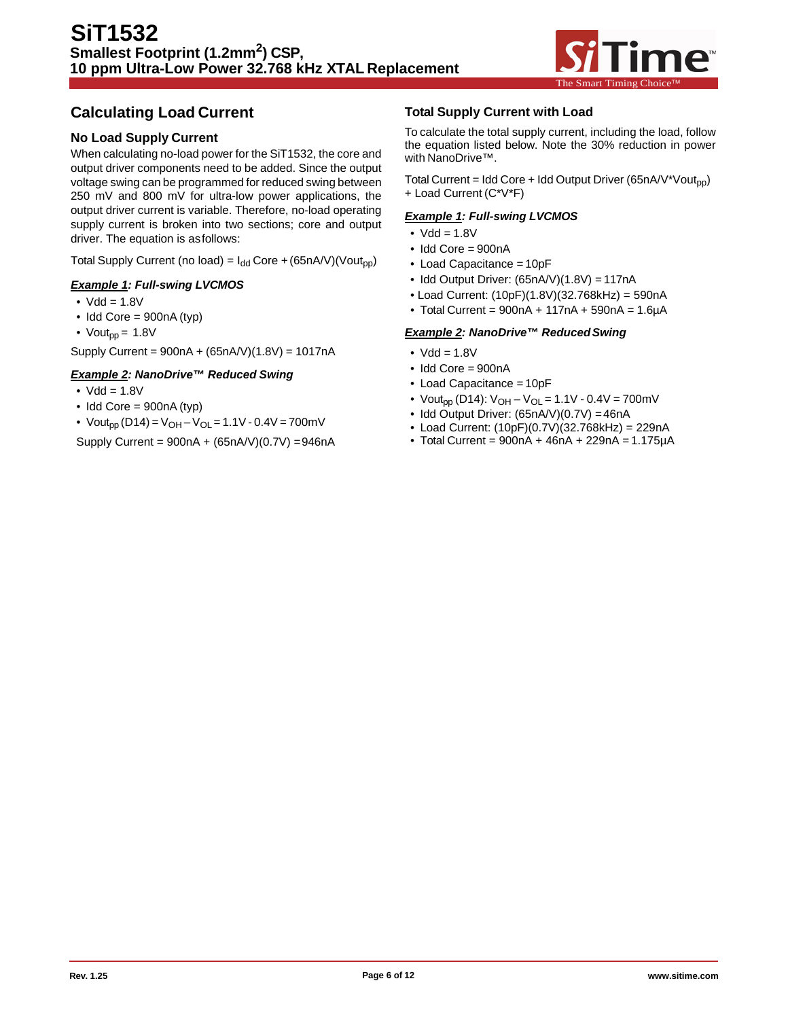

## **Calculating Load Current**

### **No Load Supply Current**

When calculating no-load power for the SiT1532, the core and output driver components need to be added. Since the output voltage swing can be programmed for reduced swing between 250 mV and 800 mV for ultra-low power applications, the output driver current is variable. Therefore, no-load operating supply current is broken into two sections; core and output driver. The equation is asfollows:

Total Supply Current (no load) =  $I_{dd}$  Core + (65nA/V)(Vout<sub>pp</sub>)

#### *Example 1: Full-swing LVCMOS*

- $Vdd = 1.8V$
- Idd Core = 900nA (typ)
- Vout<sub>pp</sub> =  $1.8V$

Supply Current = 900nA + (65nA/V)(1.8V) = 1017nA

#### *Example 2: NanoDrive™ Reduced Swing*

- $\bullet$  Vdd = 1.8V
- $\bullet$  Idd Core = 900nA (typ)

• Vout<sub>pp</sub> (D14) = V<sub>OH</sub> – V<sub>OL</sub> = 1.1V - 0.4V = 700mV

Supply Current =  $900nA + (65nA/V)(0.7V) = 946nA$ 

#### **Total Supply Current with Load**

To calculate the total supply current, including the load, follow the equation listed below. Note the 30% reduction in power with NanoDrive™.

Total Current = Idd Core + Idd Output Driver (65nA/V\*Vout<sub>pp</sub>) + Load Current (C\*V\*F)

#### *Example 1: Full-swing LVCMOS*

- $\bullet$  Vdd = 1.8V
- Idd Core = 900nA
- Load Capacitance = 10pF
- Idd Output Driver: (65nA/V)(1.8V) = 117nA
- Load Current: (10pF)(1.8V)(32.768kHz) = 590nA
- Total Current =  $900nA + 117nA + 590nA = 1.6\mu A$

#### *Example 2: NanoDrive™ ReducedSwing*

- $\bullet$  Vdd = 1.8V
- Idd Core = 900nA
- Load Capacitance = 10pF
- Vout<sub>pp</sub> (D14):  $V_{OH} V_{OL} = 1.1V 0.4V = 700mV$
- Idd Output Driver: (65nA/V)(0.7V) = 46nA
- Load Current: (10pF)(0.7V)(32.768kHz) = 229nA
- Total Current =  $900nA + 46nA + 229nA = 1.175\mu A$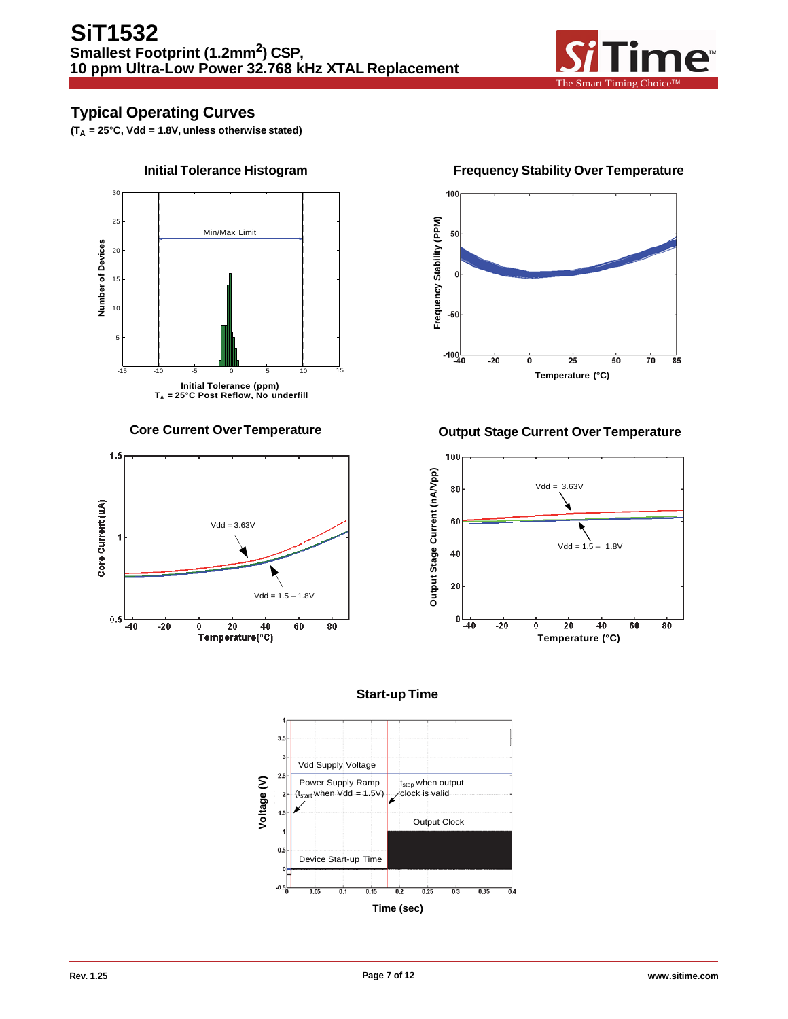

## **Typical Operating Curves**

**(TA = 25**°**C, Vdd = 1.8V, unless otherwise stated)**





100 Frequency Stability (PPM) 50  $\Omega$  $-50$  $-100$ <sub>40</sub>  $-20$ ō  $\overline{25}$  $\overline{50}$  $\frac{1}{70}$  $\overline{8}5$ **Temperature (°C)**

## **Core Current OverTemperature Output Stage Current Over Temperature**





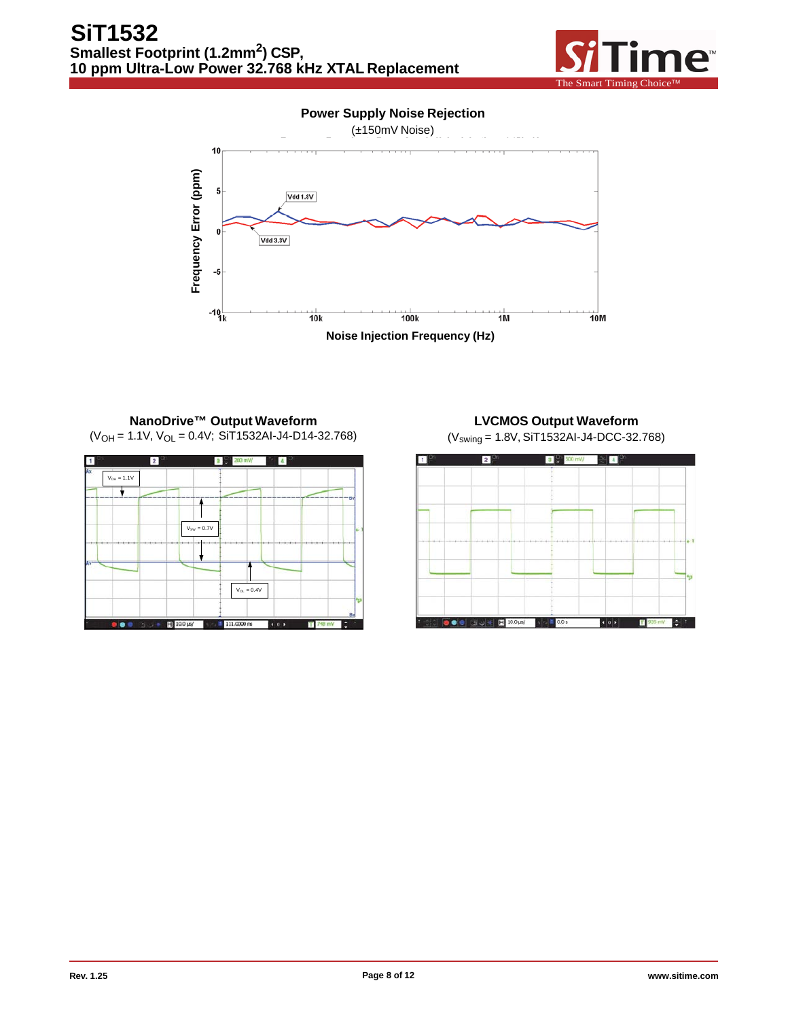

**Power Supply Noise Rejection**



#### **NanoDrive™ Output Waveform**  $(V<sub>OH</sub> = 1.1V, V<sub>OL</sub> = 0.4V; SIT1532Al-J4-D14-32.768)$



# **LVCMOS Output Waveform**

(Vswing = 1.8V, SiT1532AI-J4-DCC-32.768)

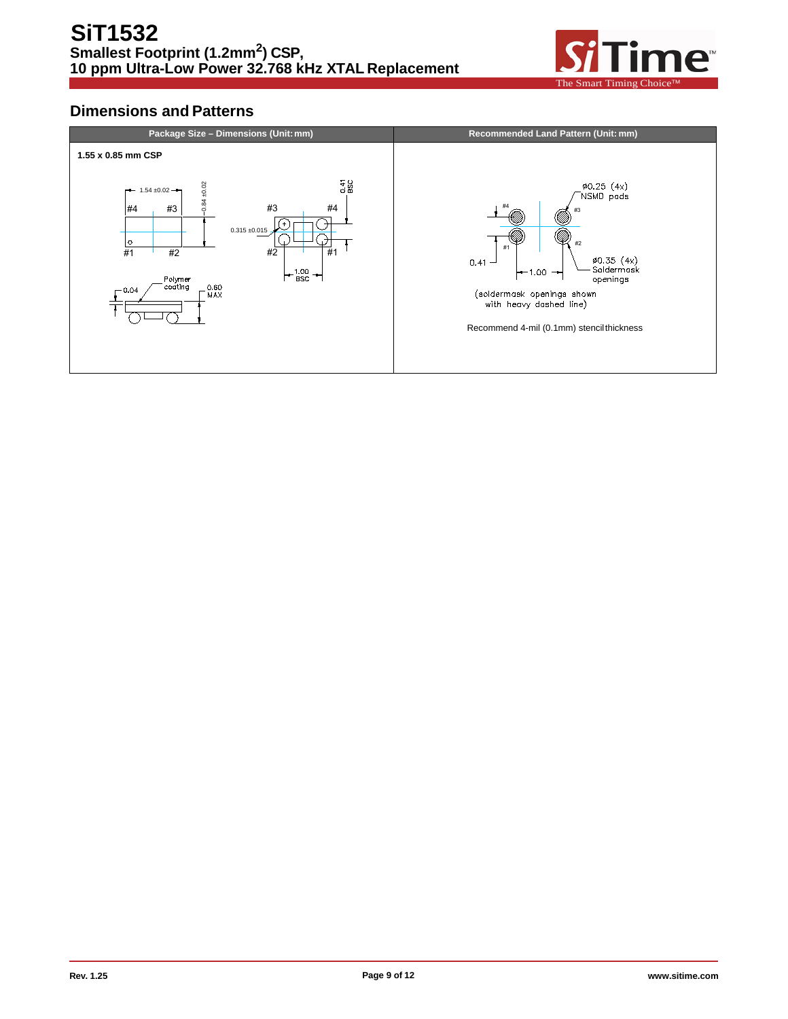

## **Dimensions and Patterns**

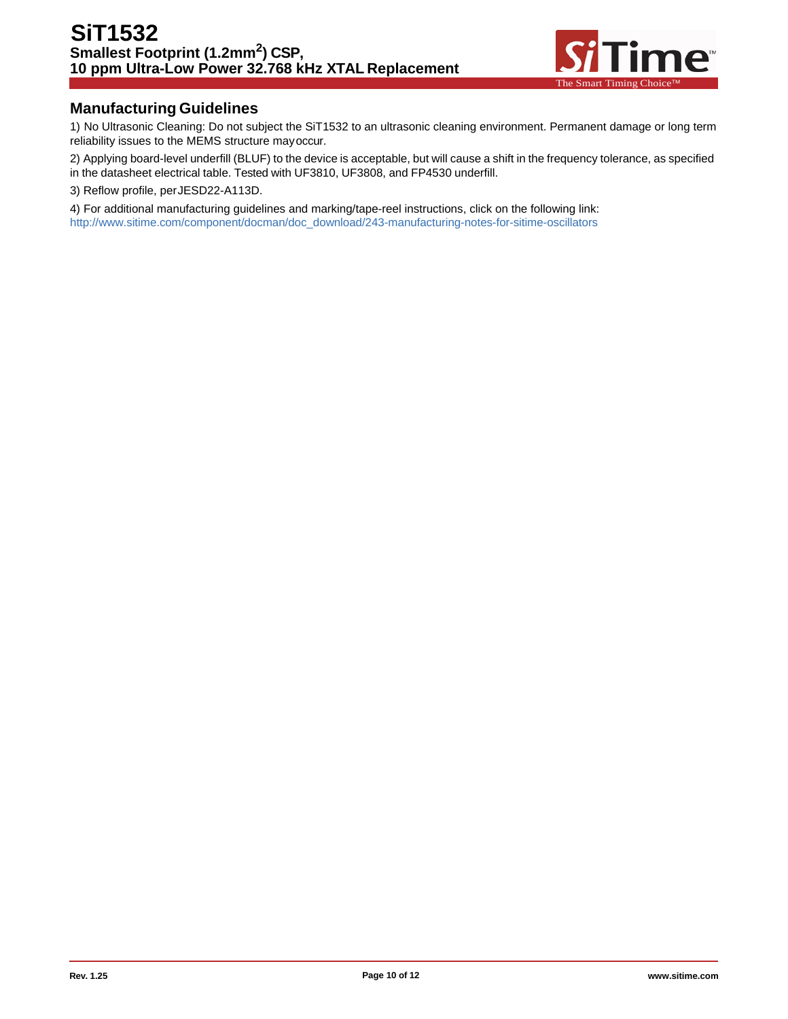

## **Manufacturing Guidelines**

1) No Ultrasonic Cleaning: Do not subject the SiT1532 to an ultrasonic cleaning environment. Permanent damage or long term reliability issues to the MEMS structure mayoccur.

2) Applying board-level underfill (BLUF) to the device is acceptable, but will cause a shift in the frequency tolerance, as specified in the datasheet electrical table. Tested with UF3810, UF3808, and FP4530 underfill.

3) Reflow profile, perJESD22-A113D.

4) For additional manufacturing guidelines and marking/tape-reel instructions, click on the following link: [http://www.sitime.com/component/docman/doc\\_download/243-manufacturing-notes-for-sitime-oscillators](http://www.sitime.com/component/docman/doc_download/243-manufacturing-notes-for-sitime-oscillators)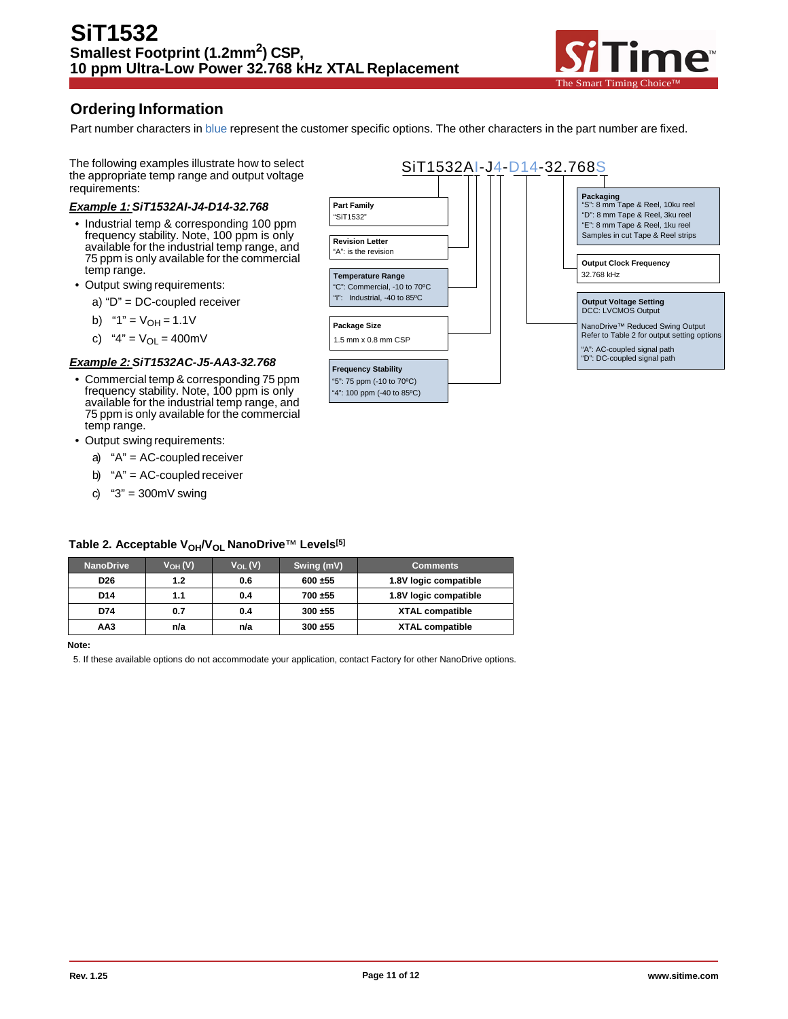

## **Ordering Information**

Part number characters in blue represent the customer specific options. The other characters in the part number are fixed.

The following examples illustrate how to select the appropriate temp range and output voltage requirements:

#### *Example 1:SiT1532AI-J4-D14-32.768*

- Industrial temp & corresponding 100 ppm frequency stability. Note, 100 ppm is only available for the industrial temp range, and 75 ppm is only available for the commercial temp range.
- Output swing requirements:
	- a) "D" = DC-coupled receiver
	- b)  $"1" = V_{OH} = 1.1V$
	- c) "4" =  $V_{OL}$  = 400mV

#### *Example 2:SiT1532AC-J5-AA3-32.768*

- Commercial temp & corresponding 75 ppm frequency stability. Note, 100 ppm is only available for the industrial temp range, and 75 ppm is only available for the commercial temp range.
- Output swing requirements:
	- a) "A" = AC-coupled receiver
	- b) "A" = AC-coupled receiver
	- c)  $"3" = 300 \text{mV}$  swing



### Table 2. Acceptable V<sub>OH</sub>/V<sub>OL</sub> NanoDrive<sup>™</sup> Levels<sup>[5]</sup>

| <b>NanoDrive</b> | $V_{OH} (V)$ | $V_{\Omega I}$ (V) | Swing (mV) | <b>Comments</b>        |
|------------------|--------------|--------------------|------------|------------------------|
| D <sub>26</sub>  | 1.2          | 0.6                | 600 ±55    | 1.8V logic compatible  |
| D <sub>14</sub>  | 1.1          | 0.4                | 700±55     | 1.8V logic compatible  |
| D74              | 0.7          | 0.4                | 300 ±55    | <b>XTAL compatible</b> |
| AA3              | n/a          | n/a                | $300 + 55$ | <b>XTAL compatible</b> |

**Note:**

5. If these available options do not accommodate your application, contact Factory for other NanoDrive options.